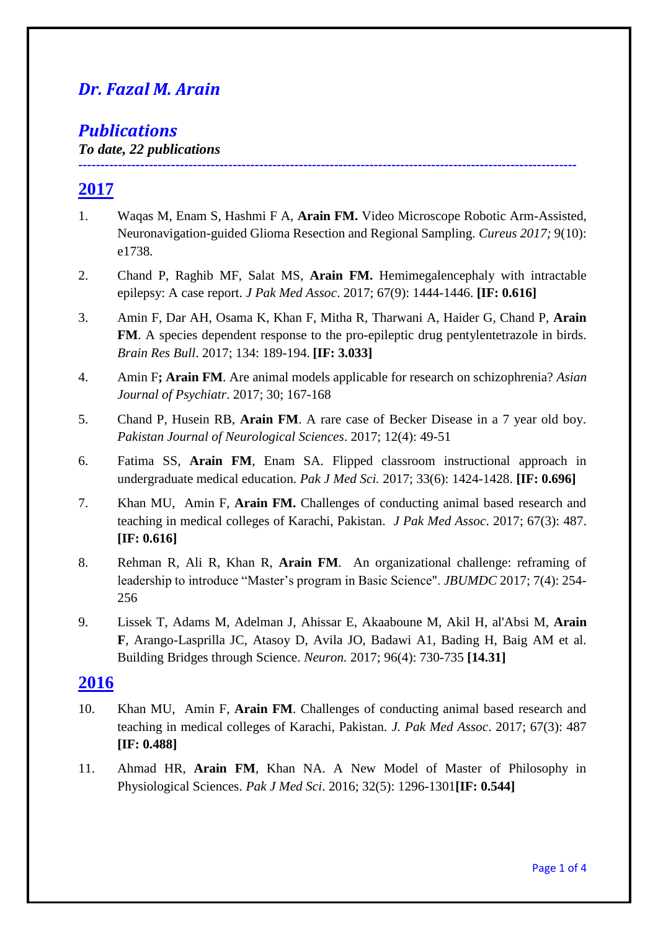# *Dr. Fazal M. Arain*

# *Publications*

*To date, 22 publications* 

# **2017**

1. Waqas M, Enam S, Hashmi F A, **Arain FM.** Video Microscope Robotic Arm-Assisted, Neuronavigation-guided Glioma Resection and Regional Sampling. *Cureus 2017;* 9(10): e1738*.* 

**-----------------------------------------------------------------------------------------------------------------**

- 2. Chand P, Raghib MF, Salat MS, **Arain FM.** Hemimegalencephaly with intractable epilepsy: A case report. *J Pak Med Assoc*. 2017; 67(9): 1444-1446. **[IF: 0.616]**
- 3. Amin F, Dar AH, Osama K, Khan F, Mitha R, Tharwani A, Haider G, Chand P, **Arain FM**. A species dependent response to the pro-epileptic drug pentylentetrazole in birds. *Brain Res Bull*. 2017; 134: 189-194. **[IF: 3.033]**
- 4. Amin F**; Arain FM**. Are animal models applicable for research on schizophrenia? *Asian Journal of Psychiatr*. 2017; 30; 167-168
- 5. Chand P, Husein RB, **Arain FM**. A rare case of Becker Disease in a 7 year old boy. *Pakistan Journal of Neurological Sciences*. 2017; 12(4): 49-51
- 6. Fatima SS, **Arain FM**, Enam SA. Flipped classroom instructional approach in undergraduate medical education. *Pak J Med Sci.* 2017; 33(6): 1424-1428. **[IF: 0.696]**
- 7. Khan MU, Amin F, **Arain FM.** Challenges of conducting animal based research and teaching in medical colleges of Karachi, Pakistan. *J Pak Med Assoc*. 2017; 67(3): 487. **[IF: 0.616]**
- 8. Rehman R, Ali R, Khan R, **Arain FM**. An organizational challenge: reframing of leadership to introduce "Master's program in Basic Science". *JBUMDC* 2017; 7(4): 254- 256
- 9. Lissek T, Adams M, Adelman J, Ahissar E, Akaaboune M, Akil H, al'Absi M, **Arain F**, Arango-Lasprilla JC, Atasoy D, Avila JO, Badawi A1, Bading H, Baig AM et al. Building Bridges through Science. *Neuron.* 2017; 96(4): 730-735 **[14.31]**

## **2016**

- 10. Khan MU, Amin F, **Arain FM**. Challenges of conducting animal based research and teaching in medical colleges of Karachi, Pakistan. *J. Pak Med Assoc*. 2017; 67(3): 487 **[IF: 0.488]**
- 11. Ahmad HR, **Arain FM**, Khan NA. A New Model of Master of Philosophy in Physiological Sciences. *Pak J Med Sci*. 2016; 32(5): 1296-1301**[IF: 0.544]**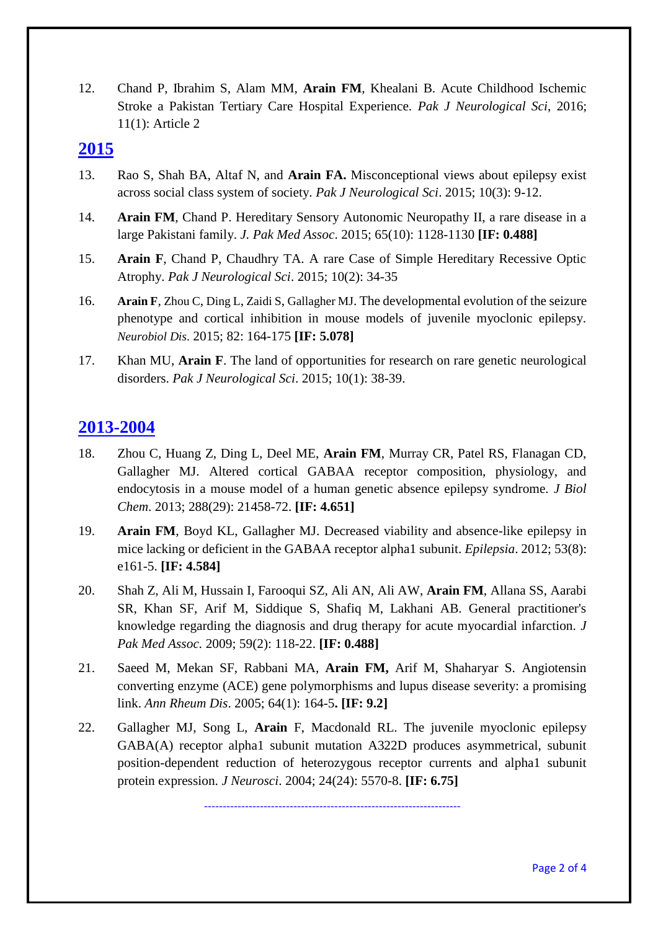12. Chand P, Ibrahim S, Alam MM, **Arain FM**, Khealani B. Acute Childhood Ischemic Stroke a Pakistan Tertiary Care Hospital Experience. *Pak J Neurological Sci*, 2016; 11(1): Article 2

## **2015**

- 13. Rao S, Shah BA, Altaf N, and **Arain FA.** Misconceptional views about epilepsy exist across social class system of society. *Pak J Neurological Sci*. 2015; 10(3): 9-12.
- 14. **Arain FM**, Chand P. Hereditary Sensory Autonomic Neuropathy II, a rare disease in a large Pakistani family. *J. Pak Med Assoc*. 2015; 65(10): 1128-1130 **[IF: 0.488]**
- 15. **Arain F**, Chand P, Chaudhry TA. A rare Case of Simple Hereditary Recessive Optic Atrophy. *Pak J Neurological Sci*. 2015; 10(2): 34-35
- 16. **[Arain F](http://www.ncbi.nlm.nih.gov/pubmed/?term=Arain%20F%5BAuthor%5D&cauthor=true&cauthor_uid=26054439)**, [Zhou C](http://www.ncbi.nlm.nih.gov/pubmed/?term=Zhou%20C%5BAuthor%5D&cauthor=true&cauthor_uid=26054439), [Ding L](http://www.ncbi.nlm.nih.gov/pubmed/?term=Ding%20L%5BAuthor%5D&cauthor=true&cauthor_uid=26054439), [Zaidi S](http://www.ncbi.nlm.nih.gov/pubmed/?term=Zaidi%20S%5BAuthor%5D&cauthor=true&cauthor_uid=26054439), [Gallagher MJ](http://www.ncbi.nlm.nih.gov/pubmed/?term=Gallagher%20MJ%5BAuthor%5D&cauthor=true&cauthor_uid=26054439). The developmental evolution of the seizure phenotype and cortical inhibition in mouse models of juvenile myoclonic epilepsy. *[Neurobiol Dis](http://www.ncbi.nlm.nih.gov/pubmed/26054439)*. 2015; 82: 164-175 **[IF: 5.078]**
- 17. Khan MU, **Arain F**. The land of opportunities for research on rare genetic neurological disorders. *Pak J Neurological Sci*. 2015; 10(1): 38-39.

## **2013-2004**

- 18. Zhou C, Huang Z, Ding L, Deel ME, **Arain FM**, Murray CR, Patel RS, Flanagan CD, Gallagher MJ. Altered cortical GABAA receptor composition, physiology, and endocytosis in a mouse model of a human genetic absence epilepsy syndrome. *J Biol Chem*. 2013; 288(29): 21458-72. **[IF: 4.651]**
- 19. **Arain FM**, Boyd KL, Gallagher MJ. Decreased viability and absence-like epilepsy in mice lacking or deficient in the GABAA receptor alpha1 subunit. *Epilepsia*. 2012; 53(8): e161-5. **[IF: 4.584]**
- 20. Shah Z, Ali M, Hussain I, Farooqui SZ, Ali AN, Ali AW, **Arain FM**, Allana SS, Aarabi SR, Khan SF, Arif M, Siddique S, Shafiq M, Lakhani AB. General practitioner's knowledge regarding the diagnosis and drug therapy for acute myocardial infarction. *J Pak Med Assoc.* 2009; 59(2): 118-22. **[IF: 0.488]**
- 21. Saeed M, Mekan SF, Rabbani MA, **Arain FM,** Arif M, Shaharyar S. Angiotensin converting enzyme (ACE) gene polymorphisms and lupus disease severity: a promising link. *Ann Rheum Dis*. 2005; 64(1): 164-5**. [IF: 9.2]**
- 22. Gallagher MJ, Song L, **Arain** F, Macdonald RL. The juvenile myoclonic epilepsy GABA(A) receptor alpha1 subunit mutation A322D produces asymmetrical, subunit position-dependent reduction of heterozygous receptor currents and alpha1 subunit protein expression. *J Neurosci*. 2004; 24(24): 5570-8. **[IF: 6.75]**

---------------------------------------------------------------------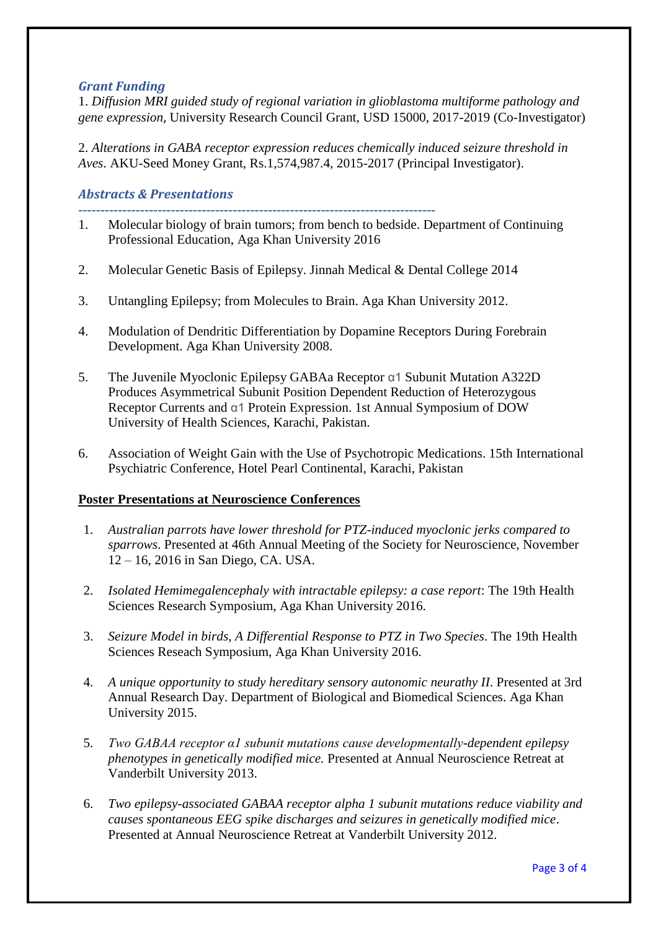### *Grant Funding*

1. *Diffusion MRI guided study of regional variation in glioblastoma multiforme pathology and gene expression*, University Research Council Grant, USD 15000, 2017-2019 (Co-Investigator)

2. *Alterations in GABA receptor expression reduces chemically induced seizure threshold in Aves*. AKU-Seed Money Grant, Rs.1,574,987.4, 2015-2017 (Principal Investigator).

### *Abstracts & Presentations*

- **---------------------------------------------------------------------------------** 1. Molecular biology of brain tumors; from bench to bedside. Department of Continuing Professional Education, Aga Khan University 2016
- 2. Molecular Genetic Basis of Epilepsy. Jinnah Medical & Dental College 2014
- 3. Untangling Epilepsy; from Molecules to Brain. Aga Khan University 2012.
- 4. Modulation of Dendritic Differentiation by Dopamine Receptors During Forebrain Development. Aga Khan University 2008.
- 5. The Juvenile Myoclonic Epilepsy GABAa Receptor α1 Subunit Mutation A322D Produces Asymmetrical Subunit Position Dependent Reduction of Heterozygous Receptor Currents and α1 Protein Expression. 1st Annual Symposium of DOW University of Health Sciences, Karachi, Pakistan.
- 6. Association of Weight Gain with the Use of Psychotropic Medications. 15th International Psychiatric Conference, Hotel Pearl Continental, Karachi, Pakistan

#### **Poster Presentations at Neuroscience Conferences**

- 1. *Australian parrots have lower threshold for PTZ-induced myoclonic jerks compared to sparrows*. Presented at 46th Annual Meeting of the Society for Neuroscience, November 12 – 16, 2016 in San Diego, CA. USA.
- 2. *Isolated Hemimegalencephaly with intractable epilepsy: a case report*: The 19th Health Sciences Research Symposium, Aga Khan University 2016.
- 3. *Seizure Model in birds, A Differential Response to PTZ in Two Species*. The 19th Health Sciences Reseach Symposium, Aga Khan University 2016.
- 4. *A unique opportunity to study hereditary sensory autonomic neurathy II*. Presented at 3rd Annual Research Day. Department of Biological and Biomedical Sciences. Aga Khan University 2015.
- 5. *Two GABAA receptor α1 subunit mutations cause developmentally-dependent epilepsy phenotypes in genetically modified mice.* Presented at Annual Neuroscience Retreat at Vanderbilt University 2013.
- 6. *Two epilepsy-associated GABAA receptor alpha 1 subunit mutations reduce viability and causes spontaneous EEG spike discharges and seizures in genetically modified mice*. Presented at Annual Neuroscience Retreat at Vanderbilt University 2012.